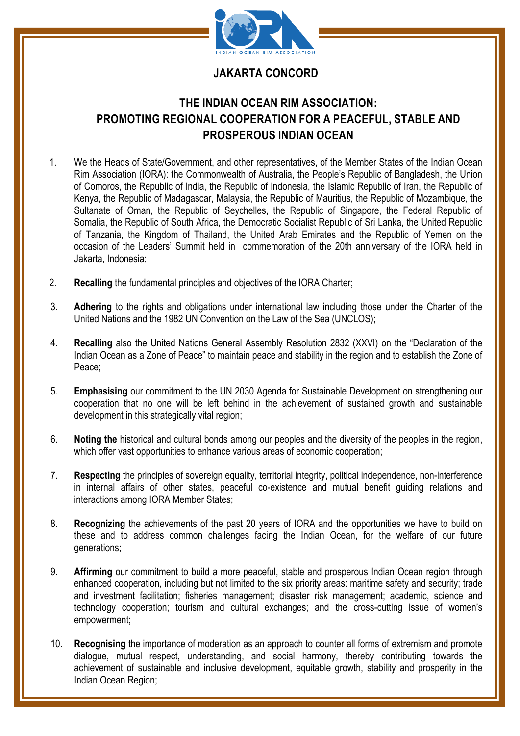

## **JAKARTA CONCORD**

## **THE INDIAN OCEAN RIM ASSOCIATION: PROMOTING REGIONAL COOPERATION FOR A PEACEFUL, STABLE AND PROSPEROUS INDIAN OCEAN**

- 1. We the Heads of State/Government, and other representatives, of the Member States of the Indian Ocean Rim Association (IORA): the Commonwealth of Australia, the People's Republic of Bangladesh, the Union of Comoros, the Republic of India, the Republic of Indonesia, the Islamic Republic of Iran, the Republic of Kenya, the Republic of Madagascar, Malaysia, the Republic of Mauritius, the Republic of Mozambique, the Sultanate of Oman, the Republic of Seychelles, the Republic of Singapore, the Federal Republic of Somalia, the Republic of South Africa, the Democratic Socialist Republic of Sri Lanka, the United Republic of Tanzania, the Kingdom of Thailand, the United Arab Emirates and the Republic of Yemen on the occasion of the Leaders' Summit held in commemoration of the 20th anniversary of the IORA held in Jakarta, Indonesia;
- 2. **Recalling** the fundamental principles and objectives of the IORA Charter;
- 3. **Adhering** to the rights and obligations under international law including those under the Charter of the United Nations and the 1982 UN Convention on the Law of the Sea (UNCLOS);
- 4. **Recalling** also the United Nations General Assembly Resolution 2832 (XXVI) on the "Declaration of the Indian Ocean as a Zone of Peace" to maintain peace and stability in the region and to establish the Zone of Peace;
- 5. **Emphasising** our commitment to the UN 2030 Agenda for Sustainable Development on strengthening our cooperation that no one will be left behind in the achievement of sustained growth and sustainable development in this strategically vital region;
- 6. **Noting the** historical and cultural bonds among our peoples and the diversity of the peoples in the region, which offer vast opportunities to enhance various areas of economic cooperation;
- 7. **Respecting** the principles of sovereign equality, territorial integrity, political independence, non-interference in internal affairs of other states, peaceful co-existence and mutual benefit guiding relations and interactions among IORA Member States;
- 8. **Recognizing** the achievements of the past 20 years of IORA and the opportunities we have to build on these and to address common challenges facing the Indian Ocean, for the welfare of our future generations;
- 9. **Affirming** our commitment to build a more peaceful, stable and prosperous Indian Ocean region through enhanced cooperation, including but not limited to the six priority areas: maritime safety and security; trade and investment facilitation; fisheries management; disaster risk management; academic, science and technology cooperation; tourism and cultural exchanges; and the cross-cutting issue of women's empowerment;
- 10. **Recognising** the importance of moderation as an approach to counter all forms of extremism and promote dialogue, mutual respect, understanding, and social harmony, thereby contributing towards the achievement of sustainable and inclusive development, equitable growth, stability and prosperity in the Indian Ocean Region;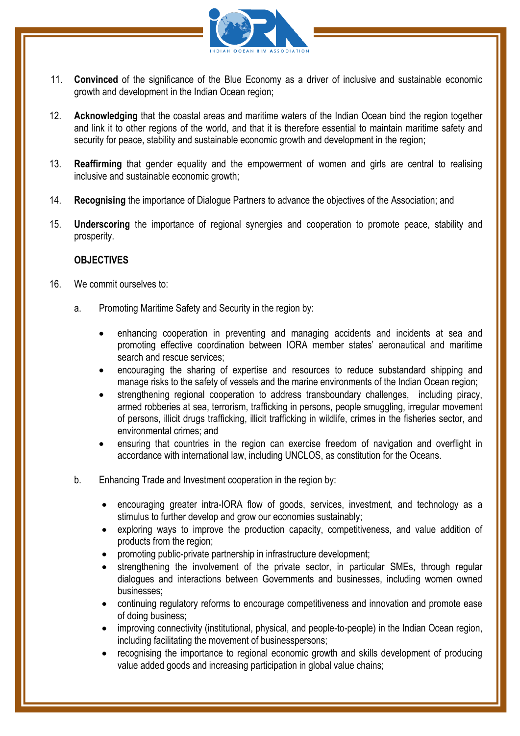

- 11. **Convinced** of the significance of the Blue Economy as a driver of inclusive and sustainable economic growth and development in the Indian Ocean region;
- 12. **Acknowledging** that the coastal areas and maritime waters of the Indian Ocean bind the region together and link it to other regions of the world, and that it is therefore essential to maintain maritime safety and security for peace, stability and sustainable economic growth and development in the region;
- 13. **Reaffirming** that gender equality and the empowerment of women and girls are central to realising inclusive and sustainable economic growth;
- 14. **Recognising** the importance of Dialogue Partners to advance the objectives of the Association; and
- 15. **Underscoring** the importance of regional synergies and cooperation to promote peace, stability and prosperity.

## **OBJECTIVES**

- 16. We commit ourselves to:
	- a. Promoting Maritime Safety and Security in the region by:
		- enhancing cooperation in preventing and managing accidents and incidents at sea and promoting effective coordination between IORA member states' aeronautical and maritime search and rescue services;
		- encouraging the sharing of expertise and resources to reduce substandard shipping and manage risks to the safety of vessels and the marine environments of the Indian Ocean region;
		- strengthening regional cooperation to address transboundary challenges, including piracy, armed robberies at sea, terrorism, trafficking in persons, people smuggling, irregular movement of persons, illicit drugs trafficking, illicit trafficking in wildlife, crimes in the fisheries sector, and environmental crimes; and
		- ensuring that countries in the region can exercise freedom of navigation and overflight in accordance with international law, including UNCLOS, as constitution for the Oceans.
	- b. Enhancing Trade and Investment cooperation in the region by:
		- encouraging greater intra-IORA flow of goods, services, investment, and technology as a stimulus to further develop and grow our economies sustainably;
		- exploring ways to improve the production capacity, competitiveness, and value addition of products from the region;
		- promoting public-private partnership in infrastructure development;
		- strengthening the involvement of the private sector, in particular SMEs, through regular dialogues and interactions between Governments and businesses, including women owned businesses;
		- continuing regulatory reforms to encourage competitiveness and innovation and promote ease of doing business;
		- improving connectivity (institutional, physical, and people-to-people) in the Indian Ocean region, including facilitating the movement of businesspersons;
		- recognising the importance to regional economic growth and skills development of producing value added goods and increasing participation in global value chains;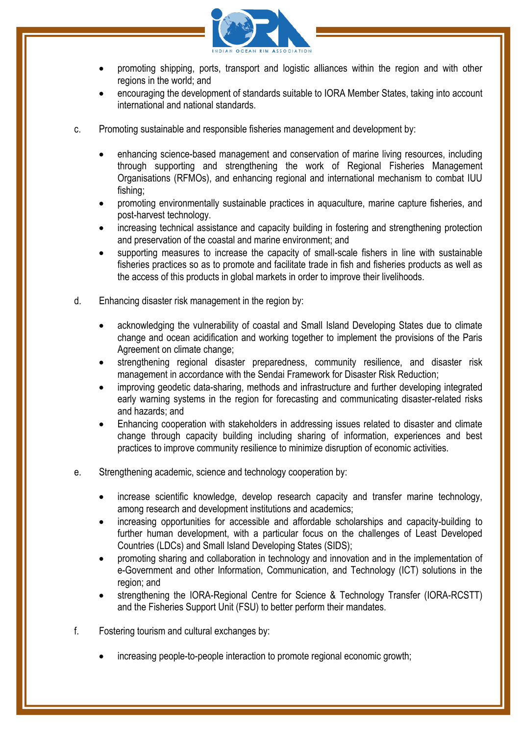

- promoting shipping, ports, transport and logistic alliances within the region and with other regions in the world; and
- encouraging the development of standards suitable to IORA Member States, taking into account international and national standards.
- c. Promoting sustainable and responsible fisheries management and development by:
	- enhancing science-based management and conservation of marine living resources, including through supporting and strengthening the work of Regional Fisheries Management Organisations (RFMOs), and enhancing regional and international mechanism to combat IUU fishing;
	- promoting environmentally sustainable practices in aquaculture, marine capture fisheries, and post-harvest technology.
	- increasing technical assistance and capacity building in fostering and strengthening protection and preservation of the coastal and marine environment; and
	- supporting measures to increase the capacity of small-scale fishers in line with sustainable fisheries practices so as to promote and facilitate trade in fish and fisheries products as well as the access of this products in global markets in order to improve their livelihoods.
- d. Enhancing disaster risk management in the region by:
	- acknowledging the vulnerability of coastal and Small Island Developing States due to climate change and ocean acidification and working together to implement the provisions of the Paris Agreement on climate change;
	- strengthening regional disaster preparedness, community resilience, and disaster risk management in accordance with the Sendai Framework for Disaster Risk Reduction;
	- improving geodetic data-sharing, methods and infrastructure and further developing integrated early warning systems in the region for forecasting and communicating disaster-related risks and hazards; and
	- Enhancing cooperation with stakeholders in addressing issues related to disaster and climate change through capacity building including sharing of information, experiences and best practices to improve community resilience to minimize disruption of economic activities.
- e. Strengthening academic, science and technology cooperation by:
	- increase scientific knowledge, develop research capacity and transfer marine technology, among research and development institutions and academics;
	- increasing opportunities for accessible and affordable scholarships and capacity-building to further human development, with a particular focus on the challenges of Least Developed Countries (LDCs) and Small Island Developing States (SIDS);
	- promoting sharing and collaboration in technology and innovation and in the implementation of e-Government and other Information, Communication, and Technology (ICT) solutions in the region; and
	- strengthening the IORA-Regional Centre for Science & Technology Transfer (IORA-RCSTT) and the Fisheries Support Unit (FSU) to better perform their mandates.
- f. Fostering tourism and cultural exchanges by:
	- increasing people-to-people interaction to promote regional economic growth;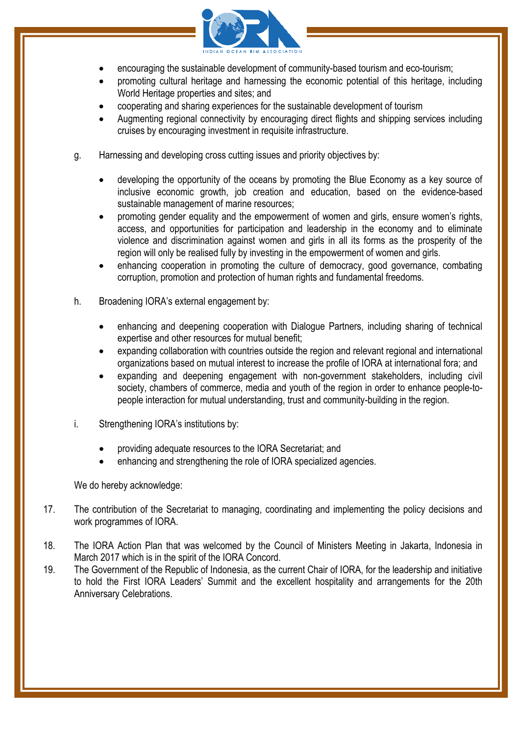

- encouraging the sustainable development of community-based tourism and eco-tourism;
- promoting cultural heritage and harnessing the economic potential of this heritage, including World Heritage properties and sites; and
- cooperating and sharing experiences for the sustainable development of tourism
- Augmenting regional connectivity by encouraging direct flights and shipping services including cruises by encouraging investment in requisite infrastructure.
- g. Harnessing and developing cross cutting issues and priority objectives by:
	- developing the opportunity of the oceans by promoting the Blue Economy as a key source of inclusive economic growth, job creation and education, based on the evidence-based sustainable management of marine resources;
	- promoting gender equality and the empowerment of women and girls, ensure women's rights, access, and opportunities for participation and leadership in the economy and to eliminate violence and discrimination against women and girls in all its forms as the prosperity of the region will only be realised fully by investing in the empowerment of women and girls.
	- enhancing cooperation in promoting the culture of democracy, good governance, combating corruption, promotion and protection of human rights and fundamental freedoms.
- h. Broadening IORA's external engagement by:
	- enhancing and deepening cooperation with Dialogue Partners, including sharing of technical expertise and other resources for mutual benefit;
	- expanding collaboration with countries outside the region and relevant regional and international organizations based on mutual interest to increase the profile of IORA at international fora; and
	- expanding and deepening engagement with non-government stakeholders, including civil society, chambers of commerce, media and youth of the region in order to enhance people-topeople interaction for mutual understanding, trust and community-building in the region.
- i. Strengthening IORA's institutions by:
	- providing adequate resources to the IORA Secretariat; and
	- enhancing and strengthening the role of IORA specialized agencies.

We do hereby acknowledge:

- 17. The contribution of the Secretariat to managing, coordinating and implementing the policy decisions and work programmes of IORA.
- 18. The IORA Action Plan that was welcomed by the Council of Ministers Meeting in Jakarta, Indonesia in March 2017 which is in the spirit of the IORA Concord.
- 19. The Government of the Republic of Indonesia, as the current Chair of IORA, for the leadership and initiative to hold the First IORA Leaders' Summit and the excellent hospitality and arrangements for the 20th Anniversary Celebrations.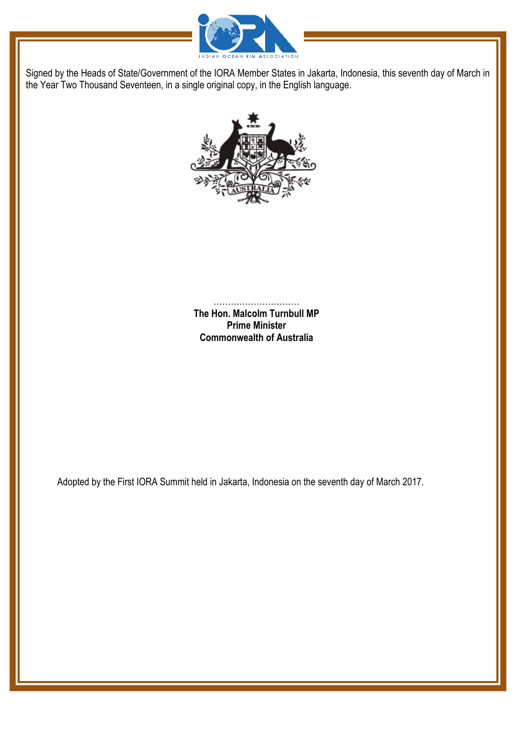



………………………… **The Hon. Malcolm Turnbull MP Prime Minister Commonwealth of Australia**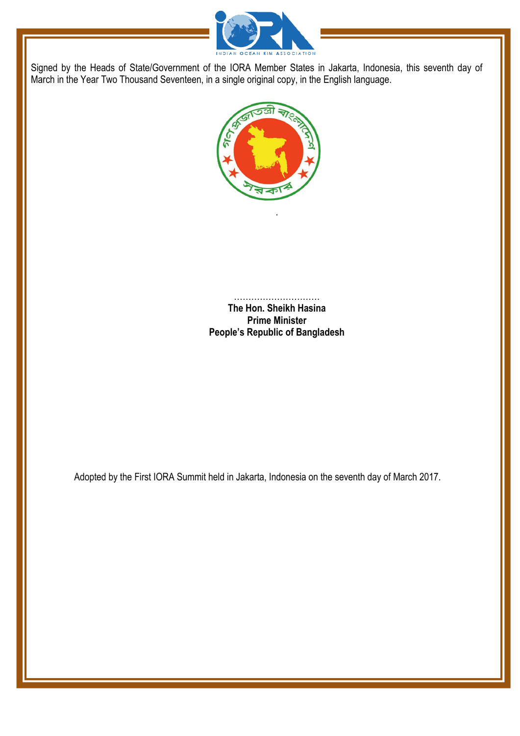



.

………………………… **The Hon. Sheikh Hasina Prime Minister People's Republic of Bangladesh**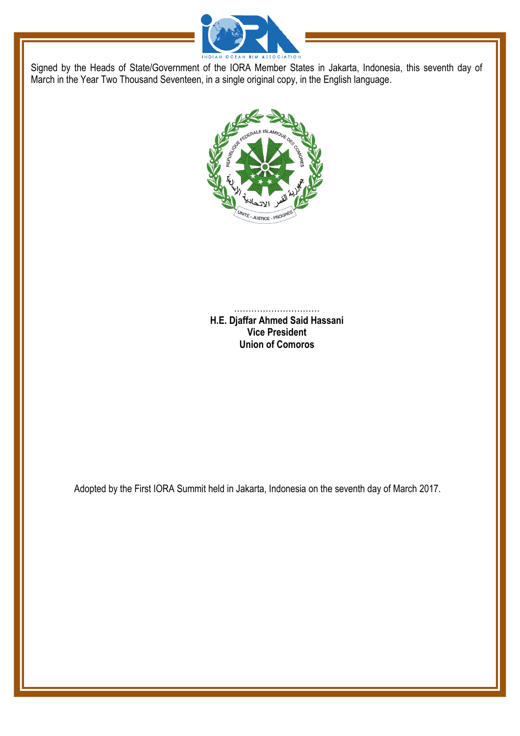



………………………… **H.E. Djaffar Ahmed Said Hassani Vice President Union of Comoros**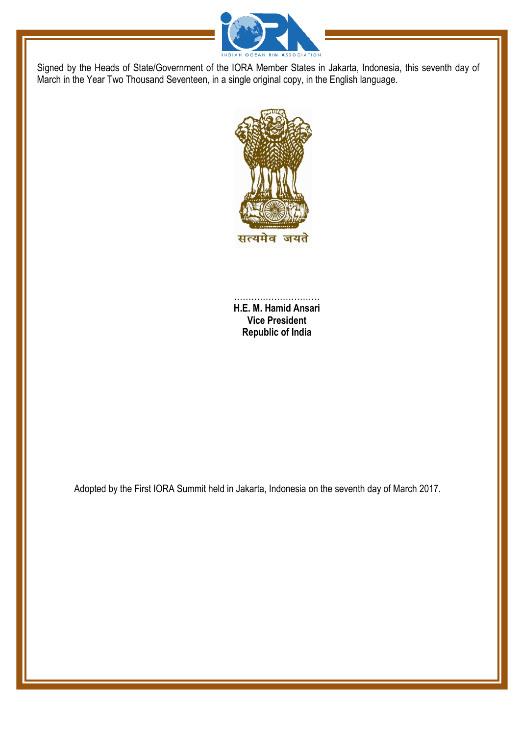



………………………… **H.E. M. Hamid Ansari Vice President Republic of India**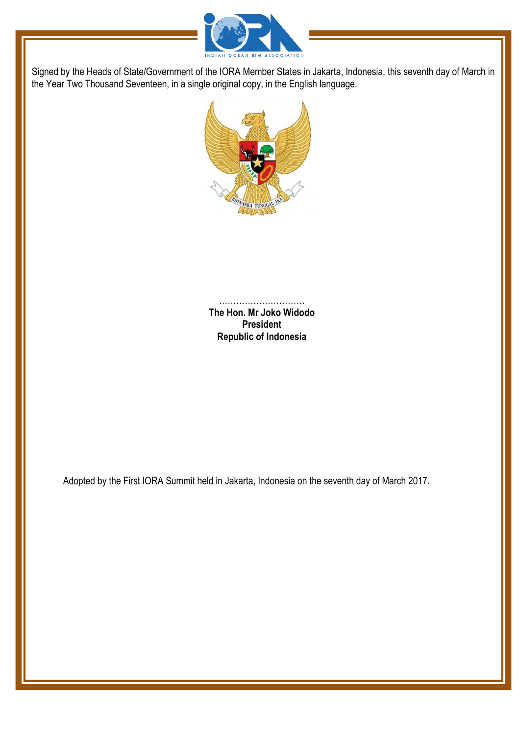



………………………… **The Hon. Mr Joko Widodo President Republic of Indonesia**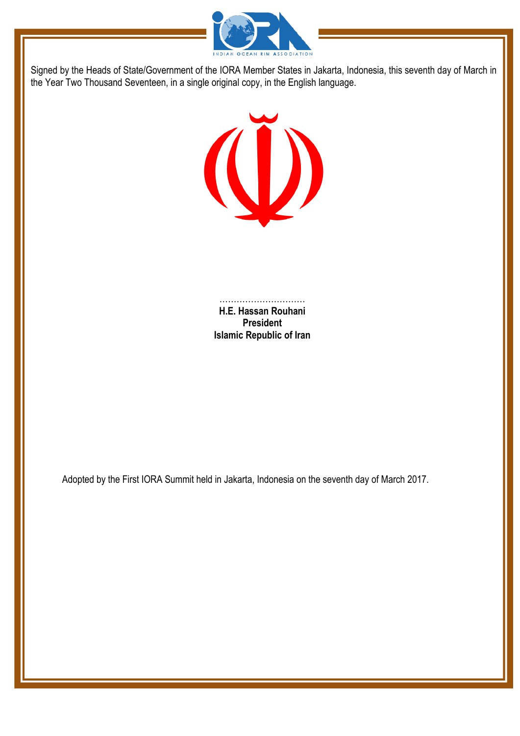



……………………………… **H.E. Hassan Rouhani President Islamic Republic of Iran**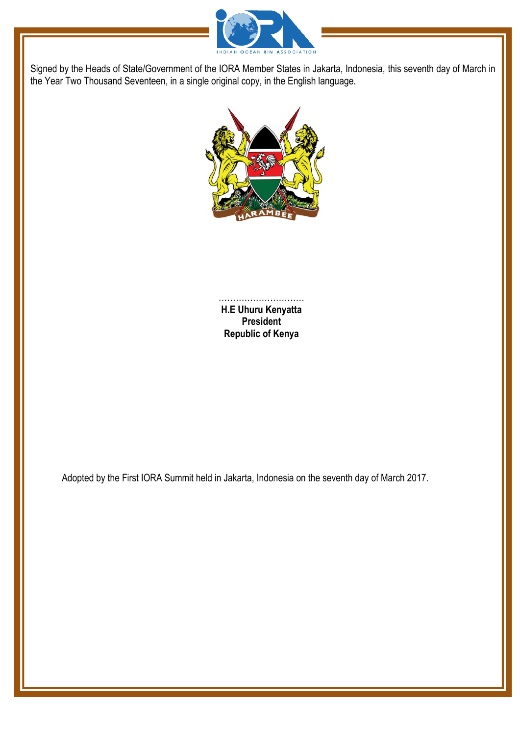



………………………… **H.E Uhuru Kenyatta President Republic of Kenya**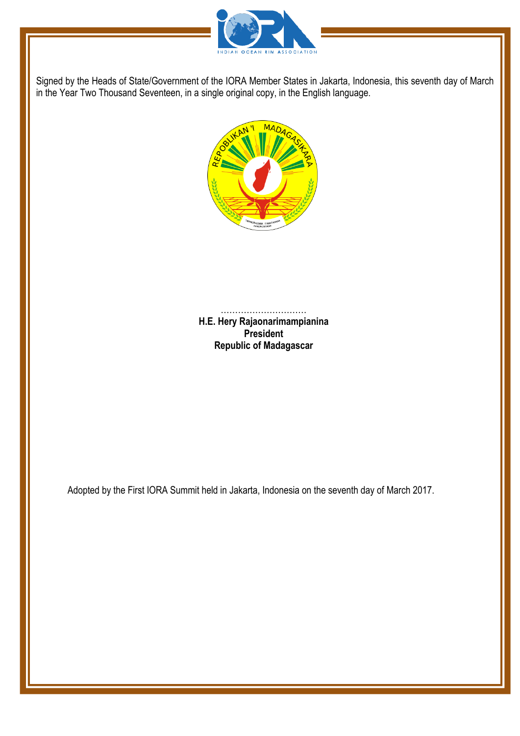



………………………… **H.E. Hery Rajaonarimampianina President Republic of Madagascar**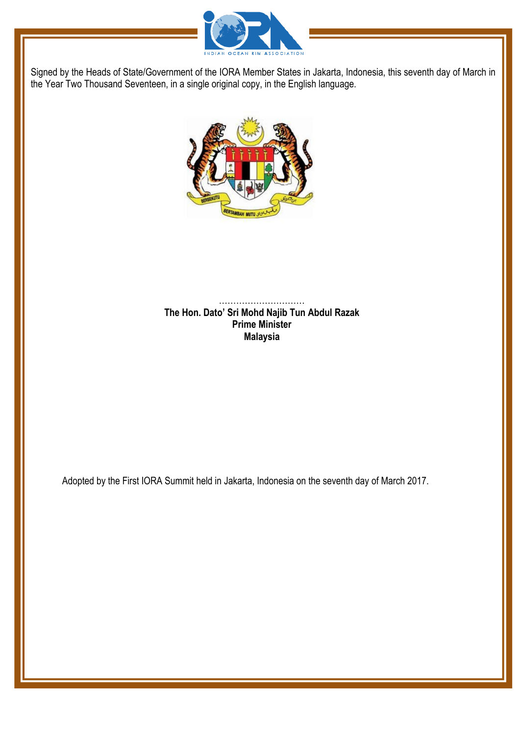



…………………………………… **The Hon. Dato' Sri Mohd Najib Tun Abdul Razak Prime Minister Malaysia**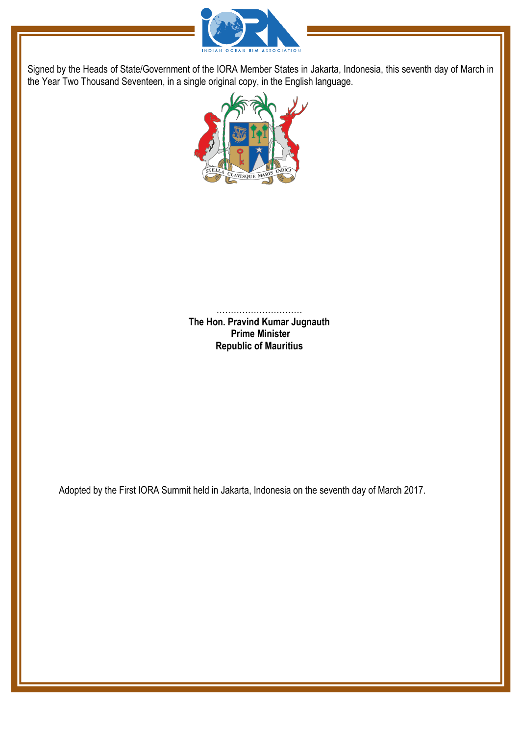



………………………… **The Hon. Pravind Kumar Jugnauth Prime Minister Republic of Mauritius**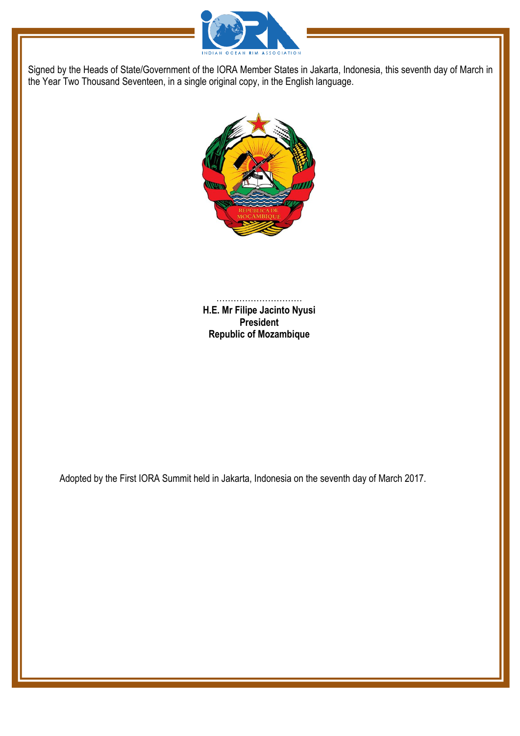



……………………………………… **H.E. Mr Filipe Jacinto Nyusi President Republic of Mozambique**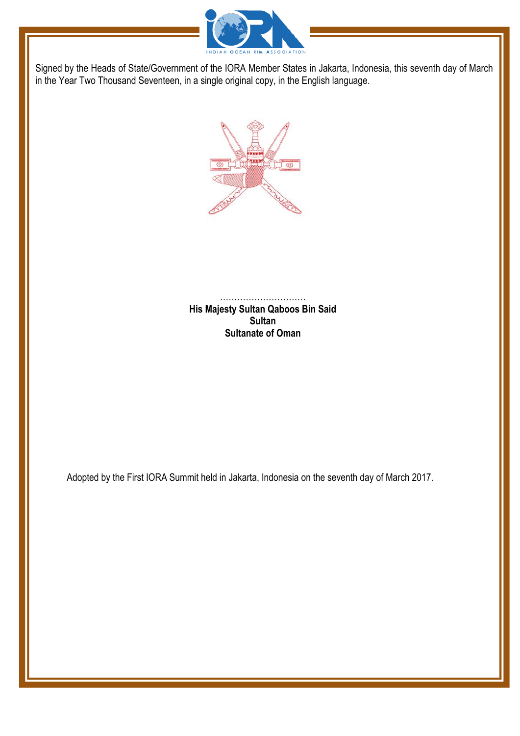



………………………… **His Majesty Sultan Qaboos Bin Said Sultan Sultanate of Oman**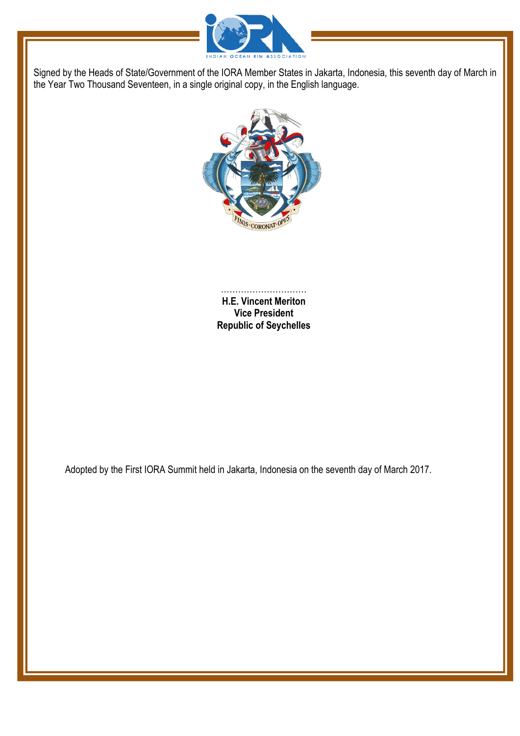



………………………… **H.E. Vincent Meriton Vice President Republic of Seychelles**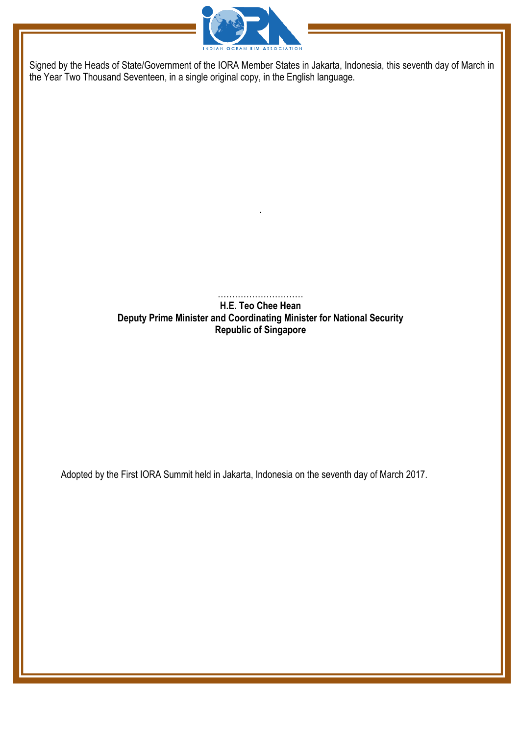

…………………………

.

**H.E. Teo Chee Hean Deputy Prime Minister and Coordinating Minister for National Security Republic of Singapore**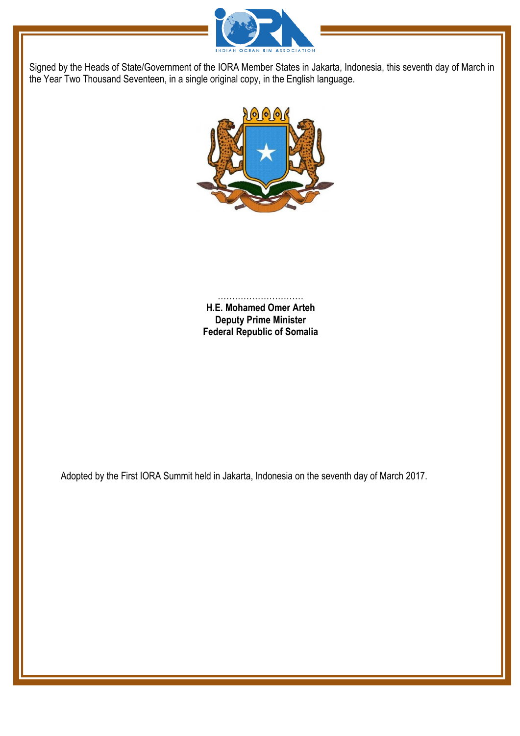



………………………… **H.E. Mohamed Omer Arteh Deputy Prime Minister Federal Republic of Somalia**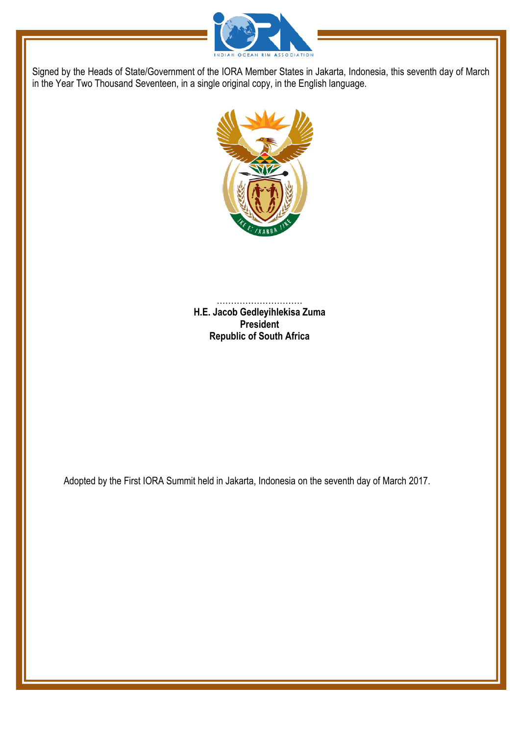



………………………… **H.E. Jacob Gedleyihlekisa Zuma President Republic of South Africa**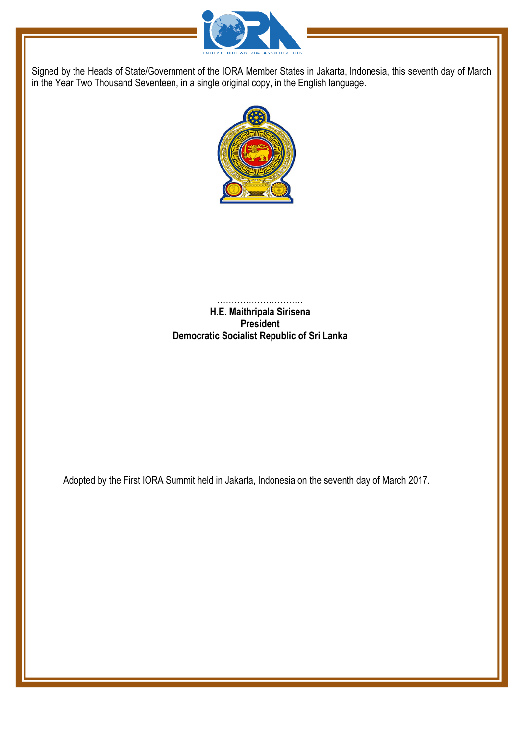



……………………… **H.E. Maithripala Sirisena President Democratic Socialist Republic of Sri Lanka**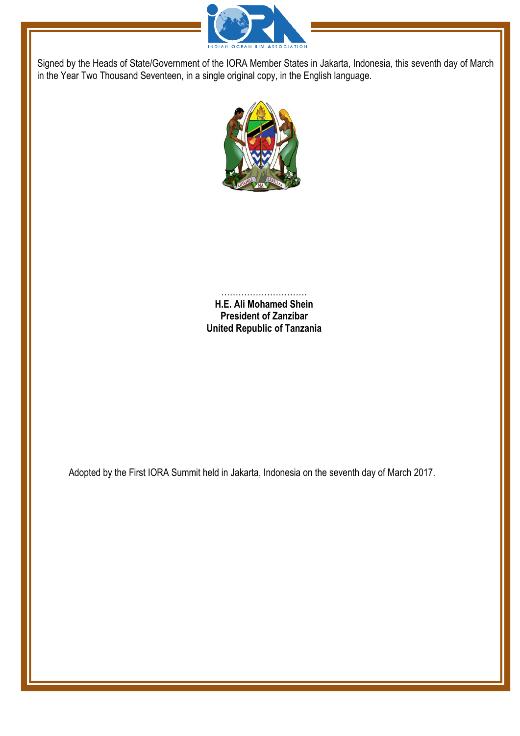



………………………… **H.E. Ali Mohamed Shein President of Zanzibar United Republic of Tanzania**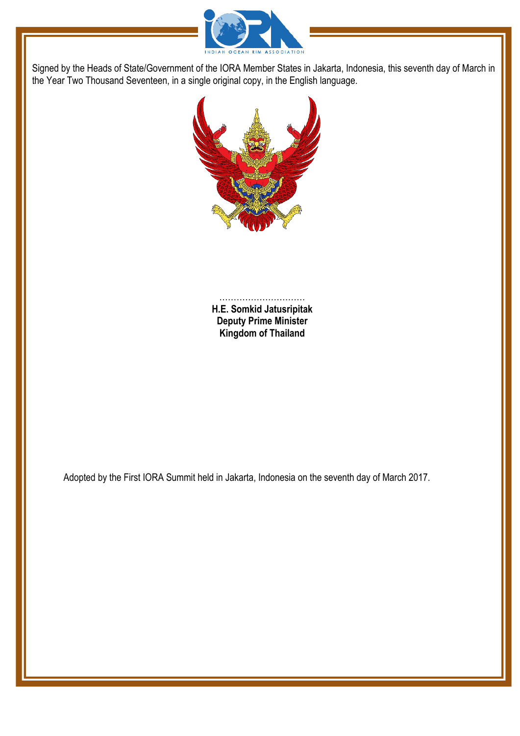



………………………… **H.E. Somkid Jatusripitak Deputy Prime Minister Kingdom of Thailand**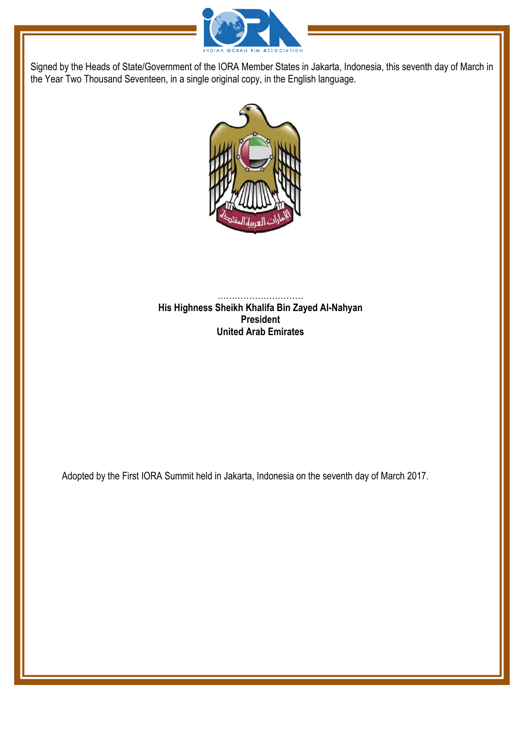



………………………… **His Highness Sheikh Khalifa Bin Zayed Al-Nahyan President United Arab Emirates**